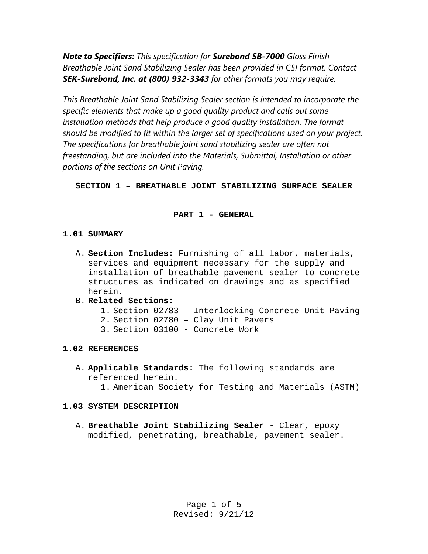*Note to Specifiers: This specification for Surebond SB-7000 Gloss Finish Breathable Joint Sand Stabilizing Sealer has been provided in CSI format. Contact SEK-Surebond, Inc. at (800) 932-3343 for other formats you may require.* 

*This Breathable Joint Sand Stabilizing Sealer section is intended to incorporate the specific elements that make up a good quality product and calls out some*  installation methods that help produce a good quality installation. The format *should be modified to fit within the larger set of specifications used on your project. The specifications for breathable joint sand stabilizing sealer are often not freestanding, but are included into the Materials, Submittal, Installation or other portions of the sections on Unit Paving.* 

**SECTION 1 – BREATHABLE JOINT STABILIZING SURFACE SEALER** 

# **PART 1 - GENERAL**

# **1.01 SUMMARY**

A. **Section Includes:** Furnishing of all labor, materials, services and equipment necessary for the supply and installation of breathable pavement sealer to concrete structures as indicated on drawings and as specified herein.

# B. **Related Sections:**

- 1. Section 02783 Interlocking Concrete Unit Paving
- 2. Section 02780 Clay Unit Pavers
- 3. Section 03100 Concrete Work

# **1.02 REFERENCES**

- A. **Applicable Standards:** The following standards are referenced herein.
	- 1. American Society for Testing and Materials (ASTM)

## **1.03 SYSTEM DESCRIPTION**

A. **Breathable Joint Stabilizing Sealer** - Clear, epoxy modified, penetrating, breathable, pavement sealer.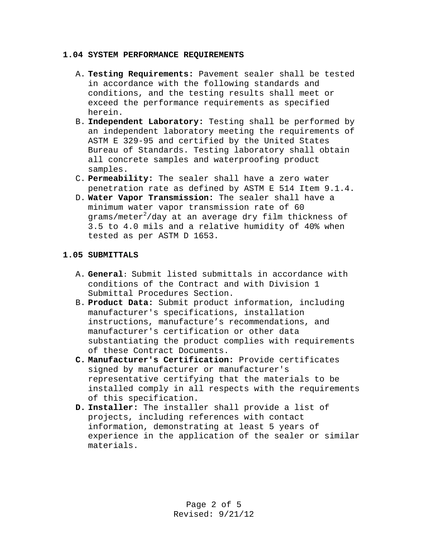#### **1.04 SYSTEM PERFORMANCE REQUIREMENTS**

- A. **Testing Requirements:** Pavement sealer shall be tested in accordance with the following standards and conditions, and the testing results shall meet or exceed the performance requirements as specified herein.
- B. **Independent Laboratory:** Testing shall be performed by an independent laboratory meeting the requirements of ASTM E 329-95 and certified by the United States Bureau of Standards. Testing laboratory shall obtain all concrete samples and waterproofing product samples.
- C. **Permeability:** The sealer shall have a zero water penetration rate as defined by ASTM E 514 Item 9.1.4.
- D. **Water Vapor Transmission:** The sealer shall have a minimum water vapor transmission rate of 60 grams/meter $^2$ /day at an average dry film thickness of 3.5 to 4.0 mils and a relative humidity of 40% when tested as per ASTM D 1653.

### **1.05 SUBMITTALS**

- A. **General:** Submit listed submittals in accordance with conditions of the Contract and with Division 1 Submittal Procedures Section.
- B. **Product Data:** Submit product information, including manufacturer's specifications, installation instructions, manufacture's recommendations, and manufacturer's certification or other data substantiating the product complies with requirements of these Contract Documents.
- **C. Manufacturer's Certification:** Provide certificates signed by manufacturer or manufacturer's representative certifying that the materials to be installed comply in all respects with the requirements of this specification.
- **D. Installer:** The installer shall provide a list of projects, including references with contact information, demonstrating at least 5 years of experience in the application of the sealer or similar materials.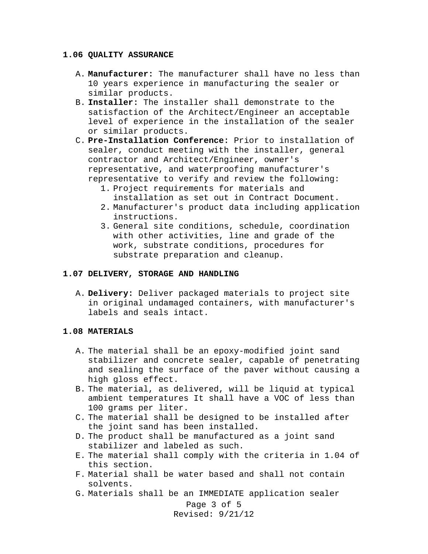#### **1.06 QUALITY ASSURANCE**

- A. **Manufacturer:** The manufacturer shall have no less than 10 years experience in manufacturing the sealer or similar products.
- B. **Installer:** The installer shall demonstrate to the satisfaction of the Architect/Engineer an acceptable level of experience in the installation of the sealer or similar products.
- C. **Pre-Installation Conference:** Prior to installation of sealer, conduct meeting with the installer, general contractor and Architect/Engineer, owner's representative, and waterproofing manufacturer's representative to verify and review the following:
	- 1. Project requirements for materials and installation as set out in Contract Document.
	- 2. Manufacturer's product data including application instructions.
	- 3. General site conditions, schedule, coordination with other activities, line and grade of the work, substrate conditions, procedures for substrate preparation and cleanup.

### **1.07 DELIVERY, STORAGE AND HANDLING**

A. **Delivery:** Deliver packaged materials to project site in original undamaged containers, with manufacturer's labels and seals intact.

### **1.08 MATERIALS**

- A. The material shall be an epoxy-modified joint sand stabilizer and concrete sealer, capable of penetrating and sealing the surface of the paver without causing a high gloss effect.
- B. The material, as delivered, will be liquid at typical ambient temperatures It shall have a VOC of less than 100 grams per liter.
- C. The material shall be designed to be installed after the joint sand has been installed.
- D. The product shall be manufactured as a joint sand stabilizer and labeled as such.
- E. The material shall comply with the criteria in 1.04 of this section.
- F. Material shall be water based and shall not contain solvents.
- G. Materials shall be an IMMEDIATE application sealer

Page 3 of 5 Revised: 9/21/12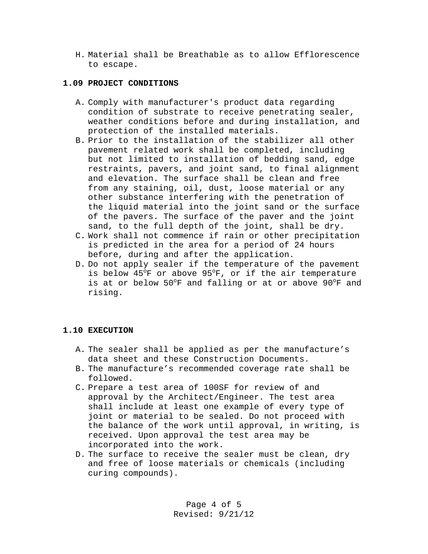H. Material shall be Breathable as to allow Efflorescence to escape.

## **1.09 PROJECT CONDITIONS**

- A. Comply with manufacturer's product data regarding condition of substrate to receive penetrating sealer, weather conditions before and during installation, and protection of the installed materials.
- B. Prior to the installation of the stabilizer all other pavement related work shall be completed, including but not limited to installation of bedding sand, edge restraints, pavers, and joint sand, to final alignment and elevation. The surface shall be clean and free from any staining, oil, dust, loose material or any other substance interfering with the penetration of the liquid material into the joint sand or the surface of the pavers. The surface of the paver and the joint sand, to the full depth of the joint, shall be dry.
- C. Work shall not commence if rain or other precipitation is predicted in the area for a period of 24 hours before, during and after the application.
- D. Do not apply sealer if the temperature of the pavement is below 45°F or above 95°F, or if the air temperature is at or below 50°F and falling or at or above 90°F and rising.

# **1.10 EXECUTION**

- A. The sealer shall be applied as per the manufacture's data sheet and these Construction Documents.
- B. The manufacture's recommended coverage rate shall be followed.
- C. Prepare a test area of 100SF for review of and approval by the Architect/Engineer. The test area shall include at least one example of every type of joint or material to be sealed. Do not proceed with the balance of the work until approval, in writing, is received. Upon approval the test area may be incorporated into the work.
- D. The surface to receive the sealer must be clean, dry and free of loose materials or chemicals (including curing compounds).